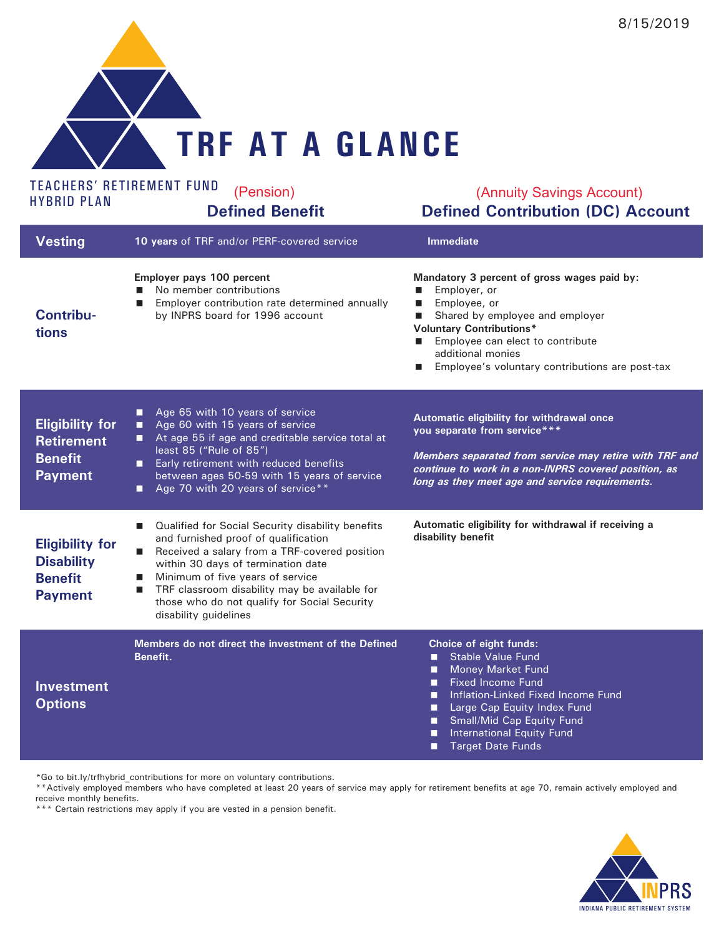

## TEACHERS' RETIREMENT FUND<br>HYBRID PLAN

## <sup>ND</sup> (Pension) (Annuity Savings Account)<br> **Defined Benefit Defined Contribution (DC) Account** (Annuity Savings Account)

| <b>Vesting</b>                                                                  | 10 years of TRF and/or PERF-covered service                                                                                                                                                                                                                                                                                                                                                               | <b>Immediate</b>                                                                                                                                                                                                                                                                                                              |
|---------------------------------------------------------------------------------|-----------------------------------------------------------------------------------------------------------------------------------------------------------------------------------------------------------------------------------------------------------------------------------------------------------------------------------------------------------------------------------------------------------|-------------------------------------------------------------------------------------------------------------------------------------------------------------------------------------------------------------------------------------------------------------------------------------------------------------------------------|
| <b>Contribu-</b><br>tions                                                       | Employer pays 100 percent<br>No member contributions<br>Employer contribution rate determined annually<br>by INPRS board for 1996 account                                                                                                                                                                                                                                                                 | Mandatory 3 percent of gross wages paid by:<br>Employer, or<br>$\blacksquare$<br>Employee, or<br>П<br>Shared by employee and employer<br>$\blacksquare$<br><b>Voluntary Contributions*</b><br>Employee can elect to contribute<br>$\blacksquare$<br>additional monies<br>Employee's voluntary contributions are post-tax<br>ш |
| <b>Eligibility for</b><br><b>Retirement</b><br><b>Benefit</b><br><b>Payment</b> | Age 65 with 10 years of service<br>о<br>Age 60 with 15 years of service<br>п<br>At age 55 if age and creditable service total at<br>least 85 ("Rule of 85")<br>Early retirement with reduced benefits<br>п<br>between ages 50-59 with 15 years of service<br>Age 70 with 20 years of service**<br>п                                                                                                       | Automatic eligibility for withdrawal once<br>you separate from service***<br>Members separated from service may retire with TRF and<br>continue to work in a non-INPRS covered position, as<br>long as they meet age and service requirements.                                                                                |
| <b>Eligibility for</b><br><b>Disability</b><br><b>Benefit</b><br><b>Payment</b> | Qualified for Social Security disability benefits<br>$\blacksquare$<br>and furnished proof of qualification<br>Received a salary from a TRF-covered position<br>$\blacksquare$<br>within 30 days of termination date<br>Minimum of five years of service<br>$\blacksquare$<br>TRF classroom disability may be available for<br>П<br>those who do not qualify for Social Security<br>disability guidelines | Automatic eligibility for withdrawal if receiving a<br>disability benefit                                                                                                                                                                                                                                                     |
| <b>Investment</b><br><b>Options</b>                                             | Members do not direct the investment of the Defined<br>Benefit.                                                                                                                                                                                                                                                                                                                                           | Choice of eight funds:<br><b>Stable Value Fund</b><br>п<br>Money Market Fund<br>□<br><b>Fixed Income Fund</b><br>п<br>Inflation-Linked Fixed Income Fund<br>п<br>Large Cap Equity Index Fund<br>п<br><b>Small/Mid Cap Equity Fund</b><br>■<br><b>International Equity Fund</b><br>П<br><b>Target Date Funds</b>               |

\*Go to [bit.ly/trfhybrid\\_contributions](http://bit.ly/trfhybrid_contributions) for more on voluntary contributions.

\*\*Actively employed members who have completed at least 20 years of service may apply for retirement benefits at age 70, remain actively employed and receive monthly benefits.

\*\*\* Certain restrictions may apply if you are vested in a pension benefit.